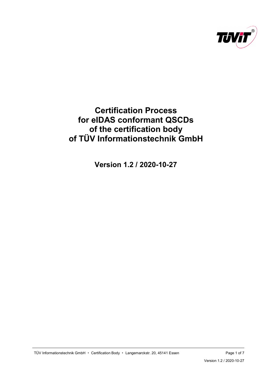

# <span id="page-0-0"></span>**Certification Process for eIDAS conformant QSCDs of the certification body of TÜV Informationstechnik GmbH**

**[Version 1.2](#page-6-0) / [2020-10-27](#page-0-0)**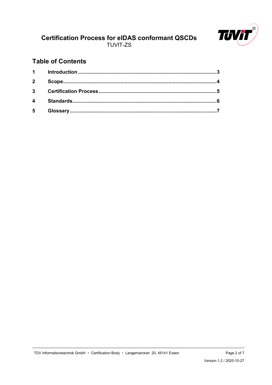

## **Table of Contents**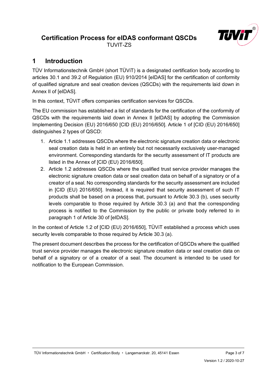

# <span id="page-2-0"></span>**1 Introduction**

TÜV Informationstechnik GmbH (short TÜViT) is a designated certification body according to articles 30.1 and 39.2 of Regulation (EU) 910/2014 [eIDAS] for the certification of conformity of qualified signature and seal creation devices (QSCDs) with the requirements laid down in Annex II of [eIDAS].

In this context, TÜViT offers companies certification services for QSCDs.

The EU commission has established a list of standards for the certification of the conformity of QSCDs with the requirements laid down in Annex II [eIDAS] by adopting the Commission Implementing Decision (EU) 2016/650 [CID (EU) 2016/650]. Article 1 of [CID (EU) 2016/650] distinguishes 2 types of QSCD:

- 1. Article 1.1 addresses QSCDs where the electronic signature creation data or electronic seal creation data is held in an entirely but not necessarily exclusively user-managed environment. Corresponding standards for the security assessment of IT products are listed in the Annex of [CID (EU) 2016/650].
- 2. Article 1.2 addresses QSCDs where the qualified trust service provider manages the electronic signature creation data or seal creation data on behalf of a signatory or of a creator of a seal. No corresponding standards for the security assessment are included in [CID (EU) 2016/650]. Instead, it is required that security assessment of such IT products shall be based on a process that, pursuant to Article 30.3 (b), uses security levels comparable to those required by Article 30.3 (a) and that the corresponding process is notified to the Commission by the public or private body referred to in paragraph 1 of Article 30 of [eIDAS].

In the context of Article 1.2 of [CID (EU) 2016/650], TÜViT established a process which uses security levels comparable to those required by Article 30.3 (a).

The present document describes the process for the certification of QSCDs where the qualified trust service provider manages the electronic signature creation data or seal creation data on behalf of a signatory or of a creator of a seal. The document is intended to be used for notification to the European Commission.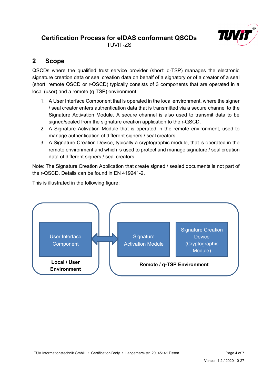

## <span id="page-3-0"></span>**2 Scope**

QSCDs where the qualified trust service provider (short: q-TSP) manages the electronic signature creation data or seal creation data on behalf of a signatory or of a creator of a seal (short: remote QSCD or r-QSCD) typically consists of 3 components that are operated in a local (user) and a remote (q-TSP) environment:

- 1. A User Interface Component that is operated in the local environment, where the signer / seal creator enters authentication data that is transmitted via a secure channel to the Signature Activation Module. A secure channel is also used to transmit data to be signed/sealed from the signature creation application to the r-QSCD.
- 2. A Signature Activation Module that is operated in the remote environment, used to manage authentication of different signers / seal creators.
- 3. A Signature Creation Device, typically a cryptographic module, that is operated in the remote environment and which is used to protect and manage signature / seal creation data of different signers / seal creators.

Note: The Signature Creation Application that create signed / sealed documents is not part of the r-QSCD. Details can be found in EN 419241-2.

This is illustrated in the following figure:

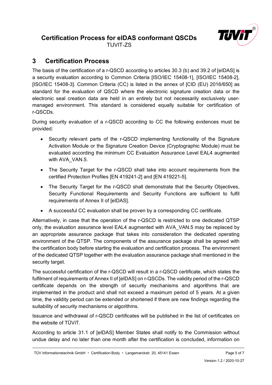

TUVIT-ZS

# <span id="page-4-0"></span>**3 Certification Process**

The basis of the certification of a r-QSCD according to articles 30.3 (b) and 39.2 of [eIDAS] is a security evaluation according to Common Criteria [ISO/IEC 15408-1], [ISO/IEC 15408-2], [ISO/IEC 15408-3]. Common Criteria (CC) is listed in the annex of [CID (EU) 2016/650] as standard for the evaluation of QSCD where the electronic signature creation data or the electronic seal creation data are held in an entirely but not necessarily exclusively usermanaged environment. This standard is considered equally suitable for certification of r-QSCDs.

During security evaluation of a r-QSCD according to CC the following evidences must be provided:

- Security relevant parts of the r-QSCD implementing functionality of the Signature Activation Module or the Signature Creation Device (Cryptographic Module) must be evaluated according the minimum CC Evaluation Assurance Level EAL4 augmented with AVA\_VAN.5.
- The Security Target for the r-QSCD shall take into account requirements from the certified Protection Profiles [EN 419241-2] and [EN 419221-5].
- The Security Target for the r-QSCD shall demonstrate that the Security Objectives, Security Functional Requirements and Security Functions are sufficient to fulfil requirements of Annex II of [eIDAS].
- A successful CC evaluation shall be proven by a corresponding CC certificate.

Alternatively, in case that the operation of the r-QSCD is restricted to one dedicated QTSP only, the evaluation assurance level EAL4 augmented with AVA\_VAN.5 may be replaced by an appropriate assurance package that takes into consideration the dedicated operating environment of the QTSP. The components of the assurance package shall be agreed with the certification body before starting the evaluation and certification process. The environment of the dedicated QTSP together with the evaluation assurance package shall mentioned in the security target.

The successful certification of the r-QSCD will result in a r-QSCD certificate, which states the fulfilment of requirements of Annex II of [eIDAS] on r-QSCDs. The validity period of the r-QSCD certificate depends on the strength of security mechanisms and algorithms that are implemented in the product and shall not exceed a maximum period of 5 years. At a given time, the validity period can be extended or shortened if there are new findings regarding the suitability of security mechanisms or algorithms.

Issuance and withdrawal of r-QSCD certificates will be published in the list of certificates on the website of TÜViT.

According to article 31.1 of [eIDAS] Member States shall notify to the Commission without undue delay and no later than one month after the certification is concluded, information on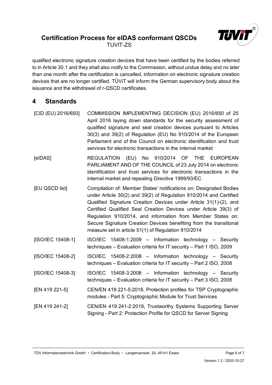

qualified electronic signature creation devices that have been certified by the bodies referred to in Article 30.1 and they shall also notify to the Commission, without undue delay and no later than one month after the certification is cancelled, information on electronic signature creation devices that are no longer certified. TÜViT will inform the German supervisory body about the issuance and the withdrawal of r-QSCD certificates.

### <span id="page-5-0"></span>**4 Standards**

- [CID (EU) 2016/650] COMMISSION IMPLEMENTING DECISION (EU) 2016/650 of 25 April 2016 laying down standards for the security assessment of qualified signature and seal creation devices pursuant to Articles 30(3) and 39(2) of Regulation (EU) No 910/2014 of the European Parliament and of the Council on electronic identification and trust services for electronic transactions in the internal market
- [eIDAS] REGULATION (EU) No 910/2014 OF THE EUROPEAN PARLIAMENT AND OF THE COUNCIL of 23 July 2014 on electronic identification and trust services for electronic transactions in the internal market and repealing Directive 1999/93/EC
- [EU QSCD list] Compilation of: Member States' notifications on: Designated Bodies under Article 30(2) and 39(2) of Regulation 910/2014 and Certified Qualified Signature Creation Devices under Article 31(1)-(2), and Certified Qualified Seal Creation Devices under Article 39(3) of Regulation 910/2014, and information from Member States on: Secure Signature Creation Devices benefiting from the transitional measure set in article 51(1) of Regulation 910/2014
- $[ISO/IEC 15408-1]$  ISO/IEC 15408-1:2009 Information technology Security techniques – Evaluation criteria for IT security – Part 1 ISO, 2009
- [ISO/IEC 15408-2] ISO/IEC 15408-2:2008 Information technology Security techniques – Evaluation criteria for IT security – Part 2 ISO, 2008
- [ISO/IEC 15408-3] ISO/IEC 15408-3:2008 Information technology Security techniques – Evaluation criteria for IT security – Part 3 ISO, 2008
- [EN 419 221-5] CEN/EN 419 221-5:2018, Protection profiles for TSP Cryptographic modules - Part 5: Cryptographic Module for Trust Services
- [EN 419 241-2] CEN/EN 419 241-2:2019, Trustworthy Systems Supporting Server Signing - Part 2: Protection Profile for QSCD for Server Signing